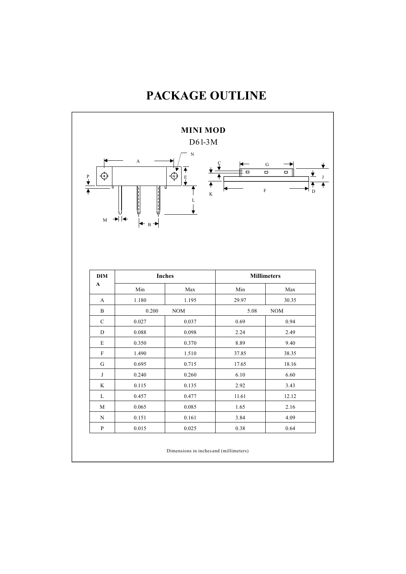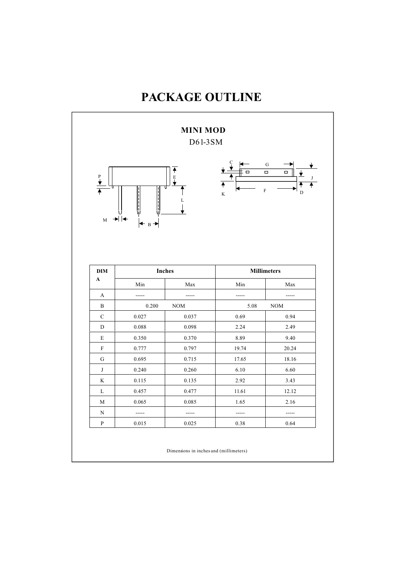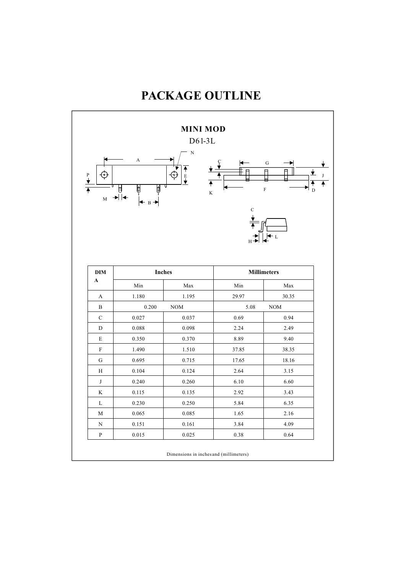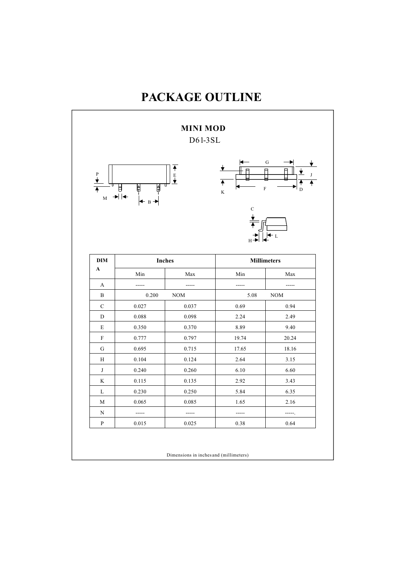#### **MINI MOD** D61-3SL G P **E** J  $\overline{P}$  $\overline{\mathsf{H}}$  $\mathbb {H}$ Æ K F D •∣ ∣⊲ M B C L H **DIM Inches Inches Millimeters A** Min Max Min Max A | ----- | ------ | ----- | -----B 0.200 NOM 5.08 NOM C  $0.027$  0.037 0.69 0.94 D 0.088 0.098 2.24 2.49 E 0.350 0.370 8.89 9.40 F 0.777 | 0.797 | 19.74 | 20.24

| B            | 0.200 | <b>NOM</b> | 5.08  | <b>NOM</b> |
|--------------|-------|------------|-------|------------|
| $\mathsf{C}$ | 0.027 | 0.037      | 0.69  | 0.94       |
| D            | 0.088 | 0.098      | 2.24  | 2.49       |
| E            | 0.350 | 0.370      | 8.89  | 9.40       |
| F            | 0.777 | 0.797      | 19.74 | 20.24      |
| G            | 0.695 | 0.715      | 17.65 | 18.16      |
| Η            | 0.104 | 0.124      | 2.64  | 3.15       |
| J            | 0.240 | 0.260      | 6.10  | 6.60       |
| K            | 0.115 | 0.135      | 2.92  | 3.43       |
| L            | 0.230 | 0.250      | 5.84  | 6.35       |
| M            | 0.065 | 0.085      | 1.65  | 2.16       |
| N            |       |            |       | -----.     |
| P            | 0.015 | 0.025      | 0.38  | 0.64       |
|              |       |            |       |            |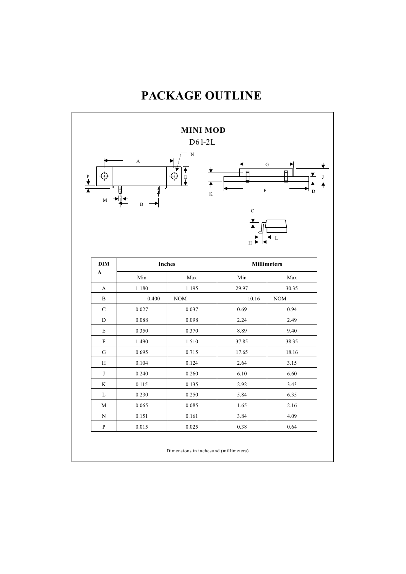